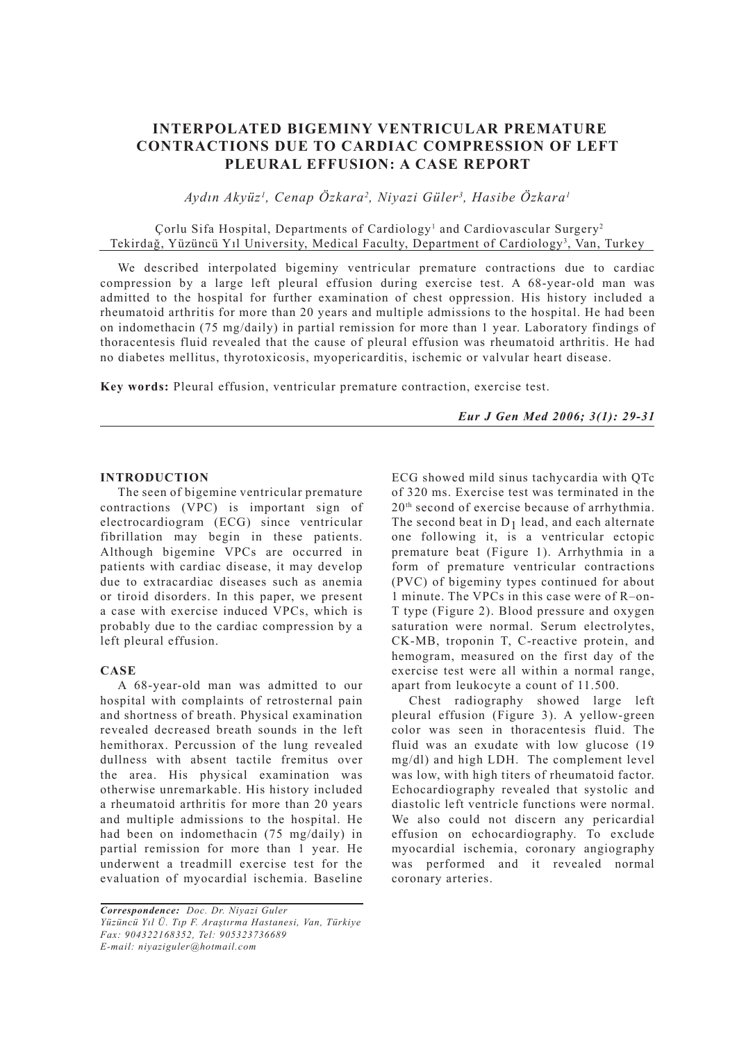# **INTERPOLATED BIGEMINY VENTRICULAR PREMATURE CONTRACTIONS DUE TO CARDIAC COMPRESSION OF LEFT PLEURAL EFFUSION: A CASE REPORT**

*Aydın Akyüz1 , Cenap Özkara2 , Niyazi Güler3 , Hasibe Özkara1*

# Çorlu Sifa Hospital, Departments of Cardiology<sup>1</sup> and Cardiovascular Surgery<sup>2</sup> Tekirdağ, Yüzüncü Yıl University, Medical Faculty, Department of Cardiology3 , Van, Turkey

We described interpolated bigeminy ventricular premature contractions due to cardiac compression by a large left pleural effusion during exercise test. A 68-year-old man was admitted to the hospital for further examination of chest oppression. His history included a rheumatoid arthritis for more than 20 years and multiple admissions to the hospital. He had been on indomethacin (75 mg/daily) in partial remission for more than 1 year. Laboratory findings of thoracentesis fluid revealed that the cause of pleural effusion was rheumatoid arthritis. He had no diabetes mellitus, thyrotoxicosis, myopericarditis, ischemic or valvular heart disease.

**Key words:** Pleural effusion, ventricular premature contraction, exercise test.

*Eur J Gen Med 2006; 3(1): 29-31*

#### **INTRODUCTION**

The seen of bigemine ventricular premature contractions (VPC) is important sign of electrocardiogram (ECG) since ventricular fibrillation may begin in these patients. Although bigemine VPCs are occurred in patients with cardiac disease, it may develop due to extracardiac diseases such as anemia or tiroid disorders. In this paper, we present a case with exercise induced VPCs, which is probably due to the cardiac compression by a left pleural effusion.

### **CASE**

A 68-year-old man was admitted to our hospital with complaints of retrosternal pain and shortness of breath. Physical examination revealed decreased breath sounds in the left hemithorax. Percussion of the lung revealed dullness with absent tactile fremitus over the area. His physical examination was otherwise unremarkable. His history included a rheumatoid arthritis for more than 20 years and multiple admissions to the hospital. He had been on indomethacin (75 mg/daily) in partial remission for more than 1 year. He underwent a treadmill exercise test for the evaluation of myocardial ischemia. Baseline

*Correspondence: Doc. Dr. Niyazi Guler Yüzüncü Yıl Ü. Tıp F. Araştırma Hastanesi, Van, Türkiye Fax: 904322168352, Tel: 905323736689 E-mail: niyaziguler@hotmail.com*

ECG showed mild sinus tachycardia with QTc of 320 ms. Exercise test was terminated in the 20th second of exercise because of arrhythmia. The second beat in  $D_1$  lead, and each alternate one following it, is a ventricular ectopic premature beat (Figure 1). Arrhythmia in a form of premature ventricular contractions (PVC) of bigeminy types continued for about 1 minute. The VPCs in this case were of R–on-T type (Figure 2). Blood pressure and oxygen saturation were normal. Serum electrolytes, CK-MB, troponin T, C-reactive protein, and hemogram, measured on the first day of the exercise test were all within a normal range, apart from leukocyte a count of 11.500.

Chest radiography showed large left pleural effusion (Figure 3). A yellow-green color was seen in thoracentesis fluid. The fluid was an exudate with low glucose (19 mg/dl) and high LDH. The complement level was low, with high titers of rheumatoid factor. Echocardiography revealed that systolic and diastolic left ventricle functions were normal. We also could not discern any pericardial effusion on echocardiography. To exclude myocardial ischemia, coronary angiography was performed and it revealed normal coronary arteries.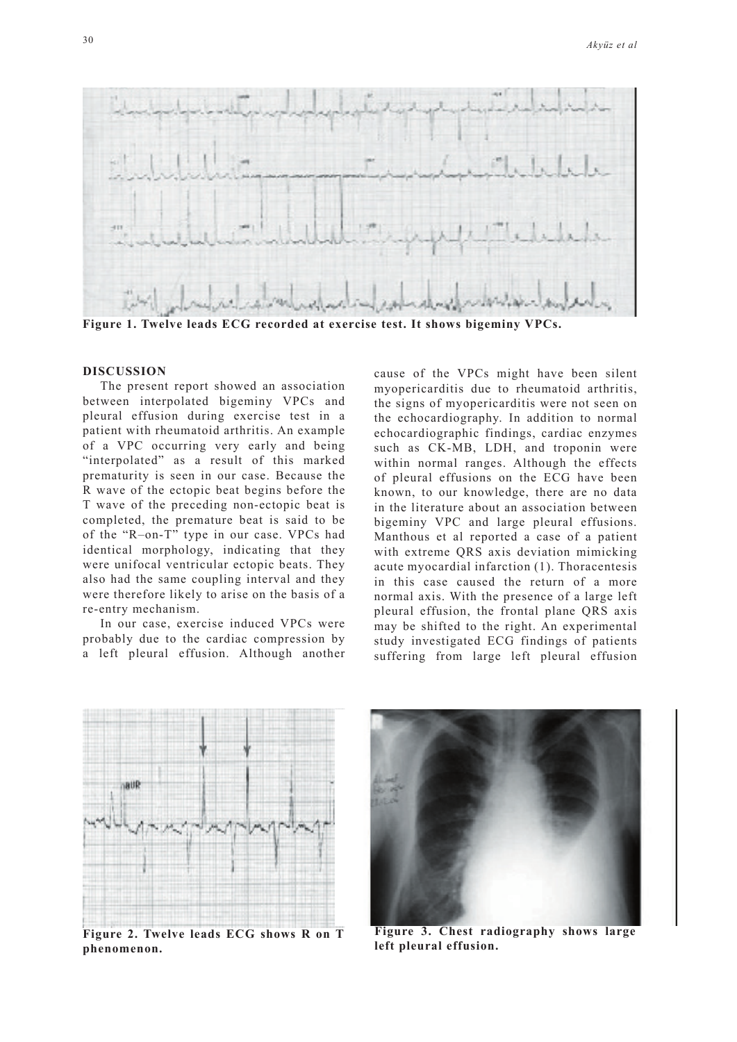

**Figure 1. Twelve leads ECG recorded at exercise test. It shows bigeminy VPCs.** 

#### **DISCUSSION**

The present report showed an association between interpolated bigeminy VPCs and pleural effusion during exercise test in a patient with rheumatoid arthritis. An example of a VPC occurring very early and being "interpolated" as a result of this marked prematurity is seen in our case. Because the R wave of the ectopic beat begins before the T wave of the preceding non-ectopic beat is completed, the premature beat is said to be of the "R–on-T" type in our case. VPCs had identical morphology, indicating that they were unifocal ventricular ectopic beats. They also had the same coupling interval and they were therefore likely to arise on the basis of a re-entry mechanism.

In our case, exercise induced VPCs were probably due to the cardiac compression by a left pleural effusion. Although another cause of the VPCs might have been silent myopericarditis due to rheumatoid arthritis, the signs of myopericarditis were not seen on the echocardiography. In addition to normal echocardiographic findings, cardiac enzymes such as CK-MB, LDH, and troponin were within normal ranges. Although the effects of pleural effusions on the ECG have been known, to our knowledge, there are no data in the literature about an association between bigeminy VPC and large pleural effusions. Manthous et al reported a case of a patient with extreme QRS axis deviation mimicking acute myocardial infarction (1). Thoracentesis in this case caused the return of a more normal axis. With the presence of a large left pleural effusion, the frontal plane QRS axis may be shifted to the right. An experimental study investigated ECG findings of patients suffering from large left pleural effusion



**Figure 2. Twelve leads ECG shows R on T phenomenon.**



**Figure 3. Chest radiography shows large left pleural effusion.**